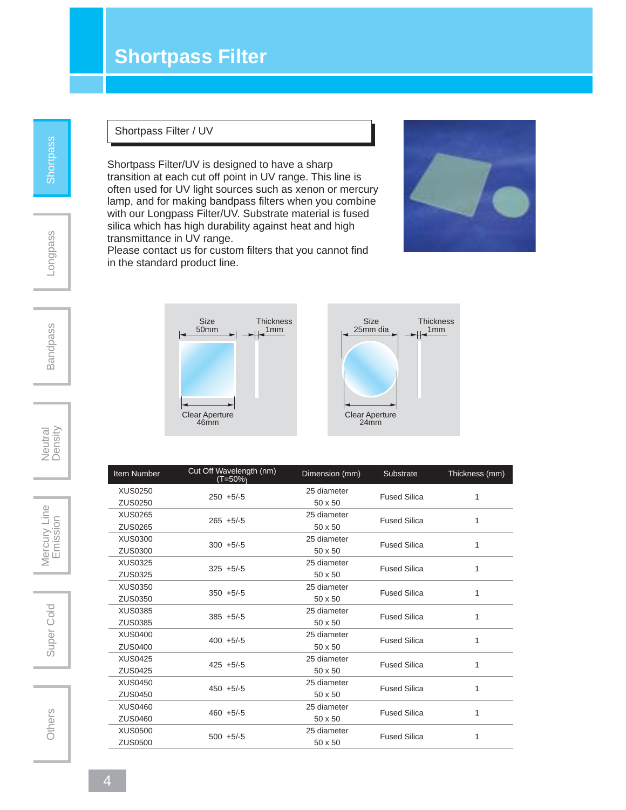## **Shortpass Filter**

#### Shortpass Filter / UV

Shortpass Filter/UV is designed to have a sharp transition at each cut off point in UV range. This line is often used for UV light sources such as xenon or mercury lamp, and for making bandpass filters when you combine with our Longpass Filter/UV. Substrate material is fused silica which has high durability against heat and high transmittance in UV range.

Please contact us for custom filters that you cannot find in the standard product line.



1mm



Item Number Cut Off Wavelength (nm) Dimension (mm) Substrate Thickness (mm) (T=50%) XUS0250 250 +5/-5 25 diameter Fused Silica 1 250 +5/-5<br>ZUS0250 50 x 50 XUS0265 265 +5/-5 25 diameter Fused Silica 1 25 diameters 265 +5/-5<br>ZUS0265 50 x 50 XUS0300 300 +5/-5 25 diameter Fused Silica 1  $20\frac{1}{100}$  300 +5/-5<br> $20\frac{1}{100}$  50 x 50 XUS0325 325 +5/-5 25 diameter Fused Silica 1 20 data 20 data 20 data 20 data 20 data 325 +5/-5 XUS0350 350 +5/-5 25 diameter Fused Silica 1  $20s350$   $350 + 5/-5$   $50 \times 50$  XUS0385 385 +5/-5 25 diameter Fused Silica 1 20 diameters 20 diameters 385 +5/-5<br>ZUS0385 50 x 50 XUS0400 400 +5/-5 25 diameter Fused Silica 1 25 diameters 200 +5/-5<br>ZUS0400 50 x 50 XUS0425 425 +5/-5 25 diameter Fused Silica 1 25 diameters 20 diameters 20 diameters 20 diameters 20 diameters 20 diameters 20 diameters 20 diameters 20 diameters 20 diameters 20 diameters 20 diameters 20 diameters 20 diameters 20 diameters 20 diameters 20 diameters 2 XUS0450 450 +5/-5 25 diameter Fused Silica 1 20 diameters 20 diameters 20 diameters 20 diameters 20 diameters 20 diameters 20 diameters 20 diameters 20 diameters 20 diameters 20 diameters 20 diameters 20 diameters 20 diameters 20 diameters 20 diameters 20 diameters 2 XUS0460 460 +5/-5 25 diameter Fused Silica 1 20 diameters 20 diameters 20 diameters 20 diameters 20 diameters 20 diameters 20 diameters 20 diameters 20 diameters 20 diameters 20 diameters 20 diameters 20 diameters 20 diameters 20 diameters 20 diameters 20 diameters 2 XUS0500 500 +5/-5 25 diameter Fused Silica 1  $25 \text{ rad}$ <br>ZUS0500 500 +5/-5 500 50 x 50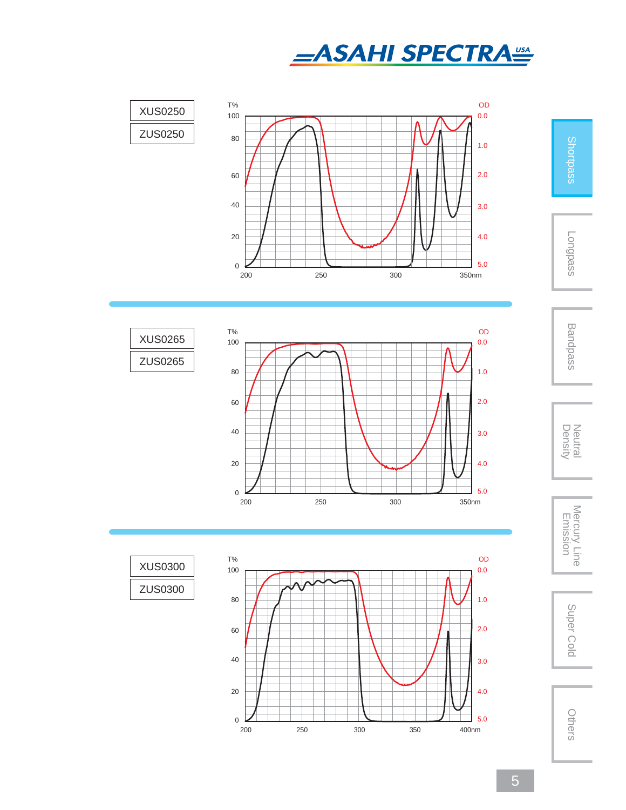









Longpass



Neutral<br>Density



Super Cold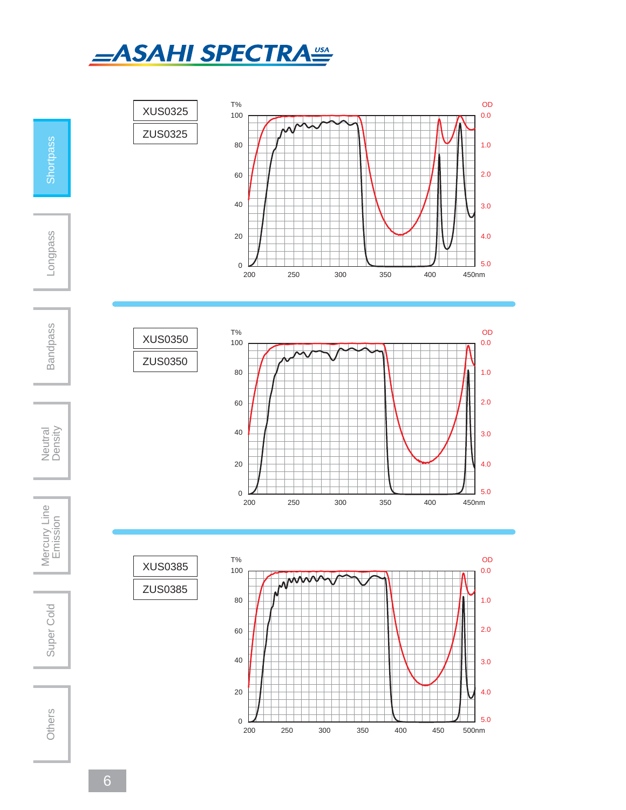

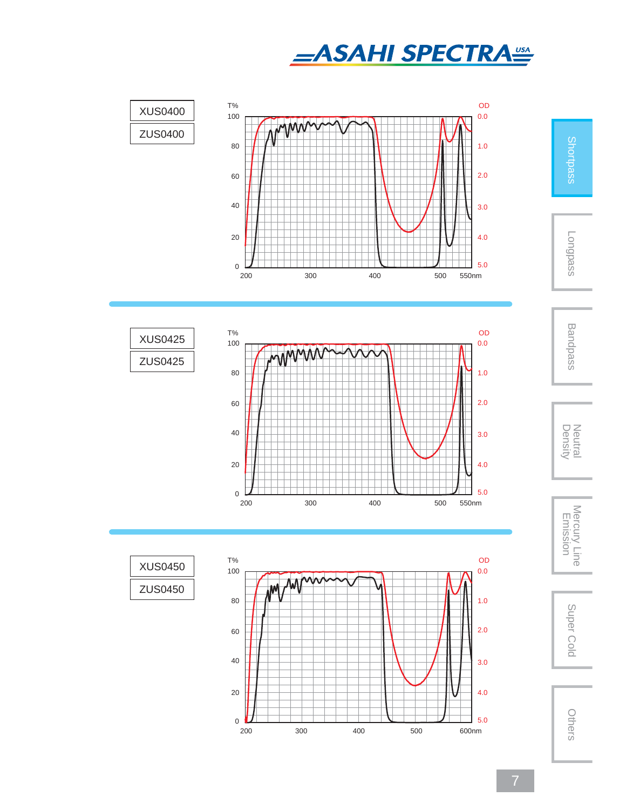







Shortpass

Longpass

Bandpass

Neutral<br>Density

Density Neutral Mercury Line Emission Super ColdMercury Line<br>Emission

Super Cold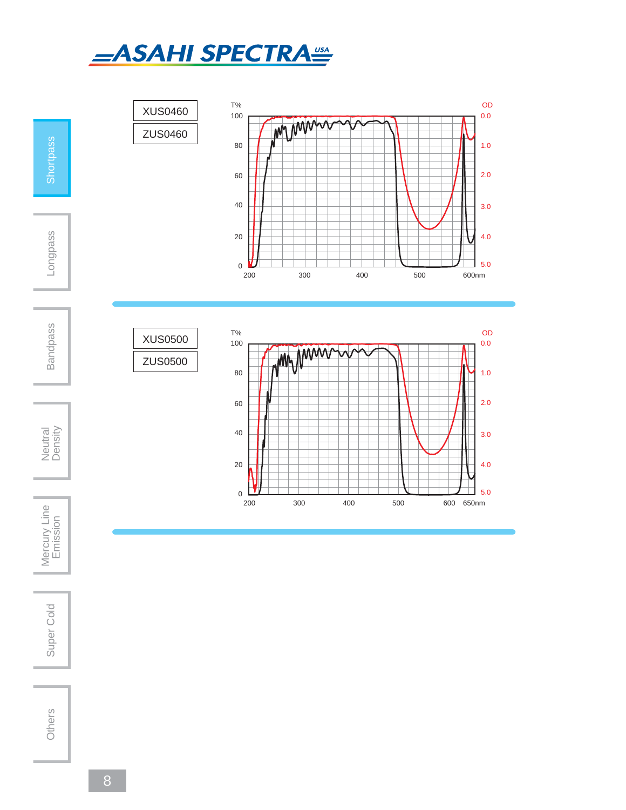



Super Cold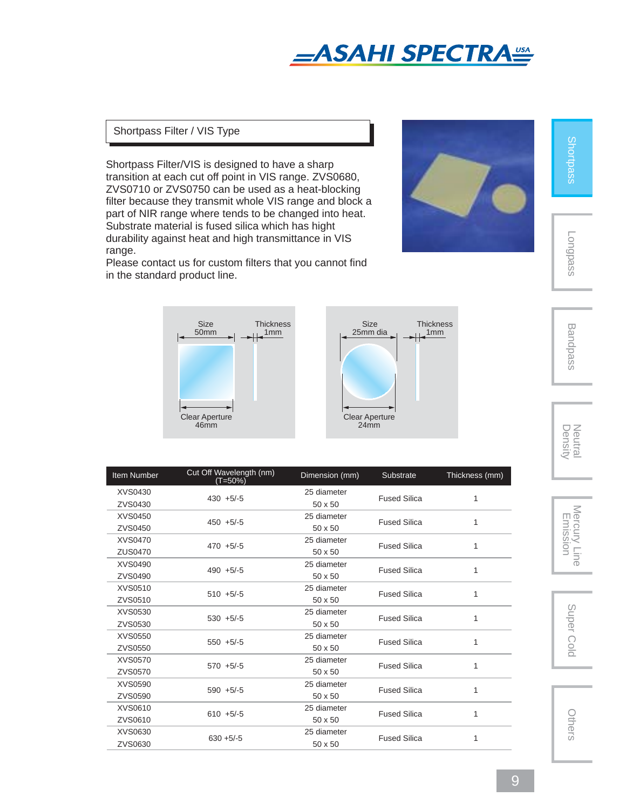

### Shortpass Filter / VIS Type

Shortpass Filter/VIS is designed to have a sharp transition at each cut off point in VIS range. ZVS0680, ZVS0710 or ZVS0750 can be used as a heat-blocking filter because they transmit whole VIS range and block a part of NIR range where tends to be changed into heat. Substrate material is fused silica which has hight durability against heat and high transmittance in VIS range.

Please contact us for custom filters that you cannot find in the standard product line.



Shortpass

Longpass



| <b>Item Number</b> | Cut Off Wavelength (nm)<br>(T=50%) | Dimension (mm) | Substrate           | Thickness (mm) |
|--------------------|------------------------------------|----------------|---------------------|----------------|
| XVS0430            | $430 + 5/-5$                       | 25 diameter    | <b>Fused Silica</b> | 1              |
| ZVS0430            |                                    | $50 \times 50$ |                     |                |
| <b>XVS0450</b>     | $450 + 5/-5$                       | 25 diameter    | <b>Fused Silica</b> | 1              |
| ZVS0450            |                                    | 50 x 50        |                     |                |
| <b>XVS0470</b>     | $470 + 5/-5$                       | 25 diameter    | <b>Fused Silica</b> |                |
| ZUS0470            |                                    | 50 x 50        |                     |                |
| XVS0490            | $490 + 5/-5$                       | 25 diameter    | <b>Fused Silica</b> |                |
| ZVS0490            |                                    | $50 \times 50$ |                     |                |
| XVS0510            | $510 + 5/-5$                       | 25 diameter    | <b>Fused Silica</b> |                |
| ZVS0510            |                                    | 50 x 50        |                     |                |
| XVS0530            | $530 + 5/-5$                       | 25 diameter    | <b>Fused Silica</b> | 1              |
| ZVS0530            |                                    | $50 \times 50$ |                     |                |
| XVS0550            | $550 + 5/-5$                       | 25 diameter    | <b>Fused Silica</b> | 1              |
| ZVS0550            |                                    | 50 x 50        |                     |                |
| <b>XVS0570</b>     | $570 + 5/-5$                       | 25 diameter    | <b>Fused Silica</b> |                |
| ZVS0570            |                                    | 50 x 50        |                     |                |
| XVS0590            | $590 + 5/-5$                       | 25 diameter    | <b>Fused Silica</b> |                |
| ZVS0590            |                                    | 50 x 50        |                     |                |
| XVS0610            | $610 + 5/-5$                       | 25 diameter    | <b>Fused Silica</b> | 1              |
| ZVS0610            |                                    | 50 x 50        |                     |                |
| XVS0630            | $630 + 5/-5$                       | 25 diameter    | <b>Fused Silica</b> |                |
| ZVS0630            |                                    | 50 x 50        |                     |                |

Neutral<br>Density

Bandpass

Density Neutral Mercury Line Emission Super ColdMercury Line<br>Emission

Super Cold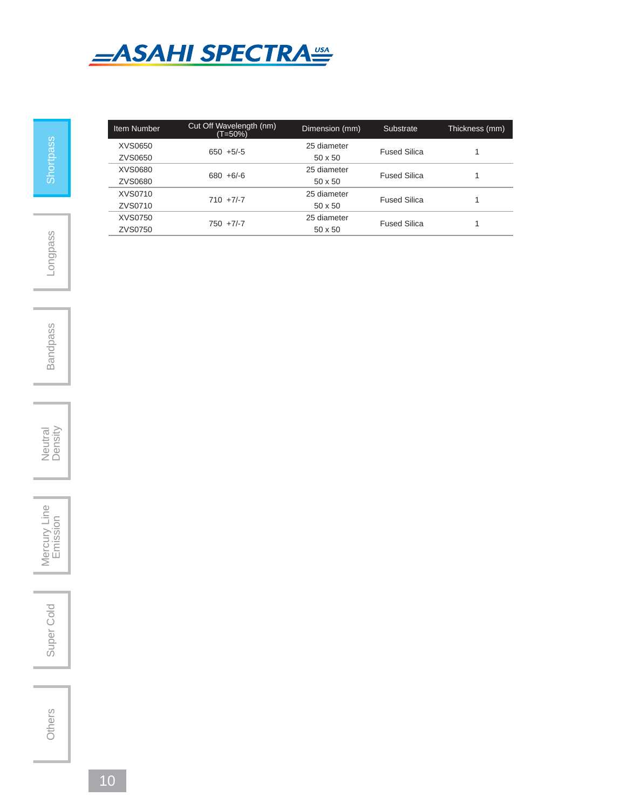

Item Number Cut Off Wavelength (nm) Dimension (mm) Substrate Thickness (mm) (T=50%) XVS0650 650 +5/-5 25 diameter Fused Silica 1 25 ulation 20050<br>ZVS0650 50 x 50 XVS0680 680 +6/-6 25 diameter Fused Silica 1 23 diameters 2014 23 diameters 2015<br>20 20 30 50 50 50 50 50 50 50 50  $\pm$  50 x 50 XVS0710 710 +7/-7 25 diameter Fused Silica 1 25 diameters 20 diameters 20 diameters 20 diameters 20 diameters 20 diameters 20 diameters 20 diameters 20 diameters 20 diameters 20 diameters 20 diameters 20 diameters 20 diameters 20 diameters 20 diameters 20 diameters 2 XVS0750 750 +7/-7 25 diameter Fused Silica 1 25 diameters 20 diameters 20 diameters 20 diameters 20 diameters 20 diameters 20 diameters 20 diameters 20 diameters 20 diameters 20 diameters 20 diameters 20 diameters 20 diameters 20 diameters 20 diameters 20 diameters 2

Bandpass



Mercury Line Super Cold | Mercury Line<br>
Emission

Others

Super Cold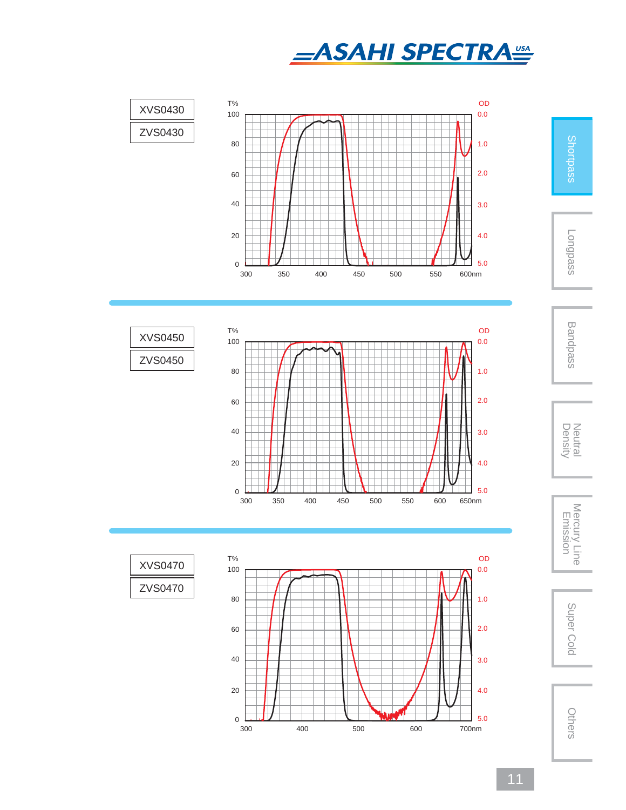









Longpass



Neutral<br>Density



Super Cold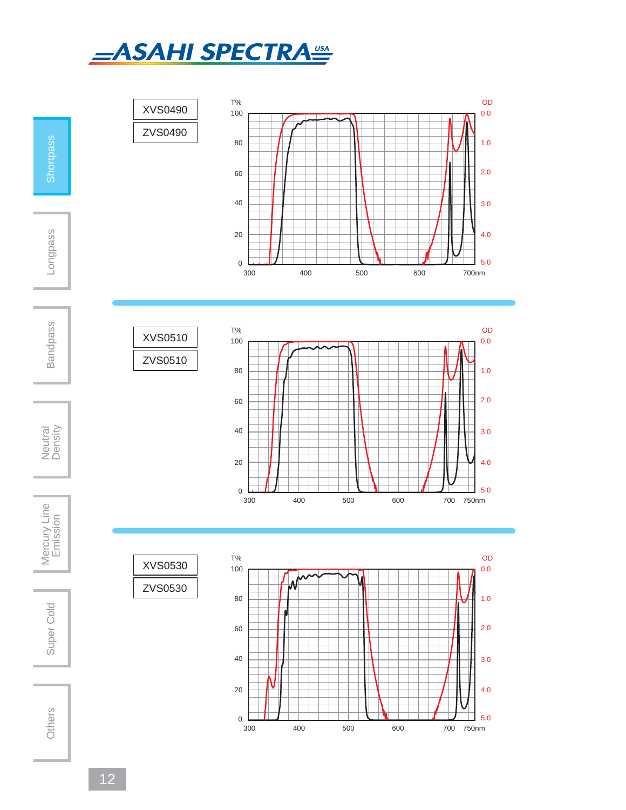



12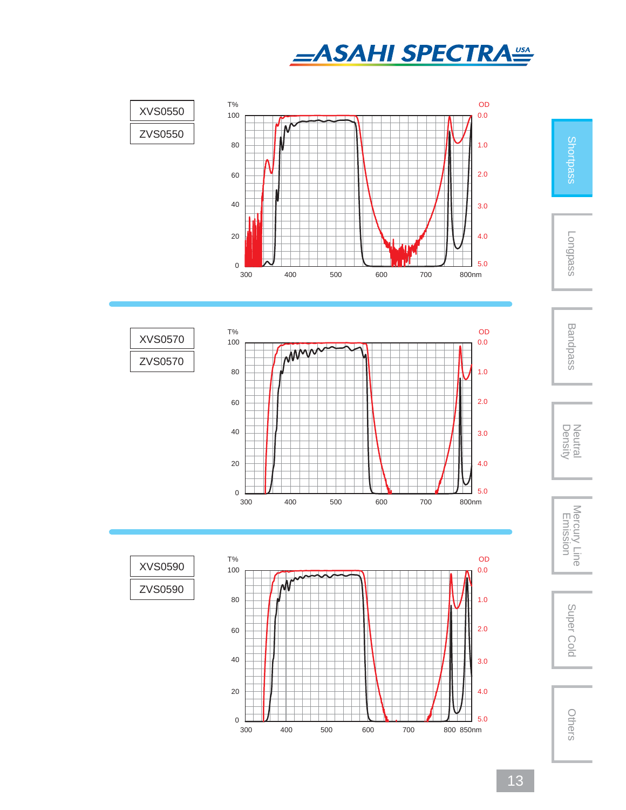







Shortpass

Longpass

Bandpass

Neutral<br>Density

Density Neutral Mercury Line Emission Super ColdMercury Line<br>Emission

Super Cold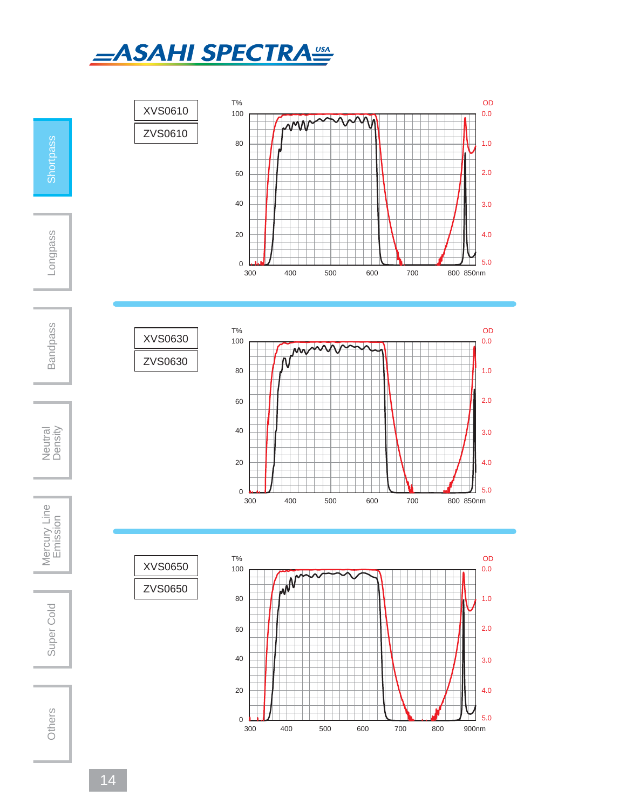

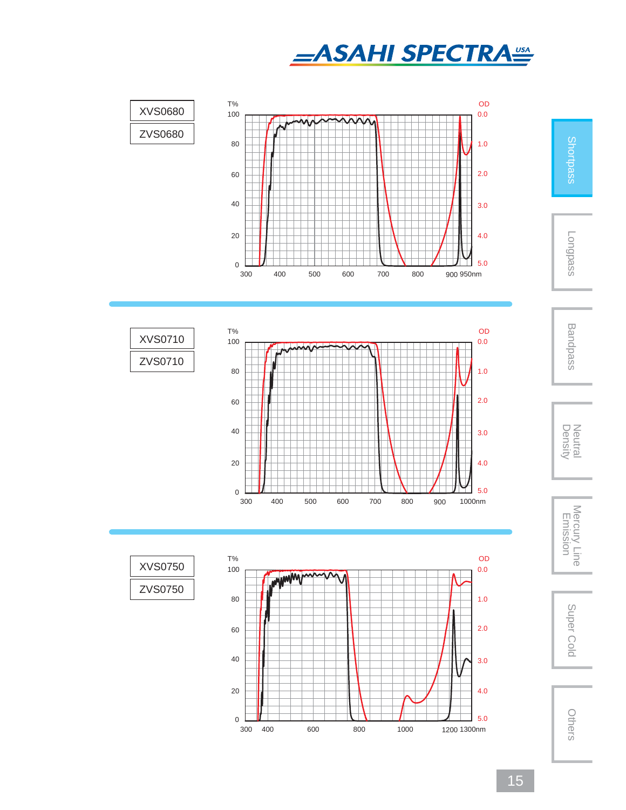







Shortpass

Longpass

Bandpass

Neutral<br>Density

Density Neutral Mercury Line Emission Super ColdMercury Line<br>Emission

Super Cold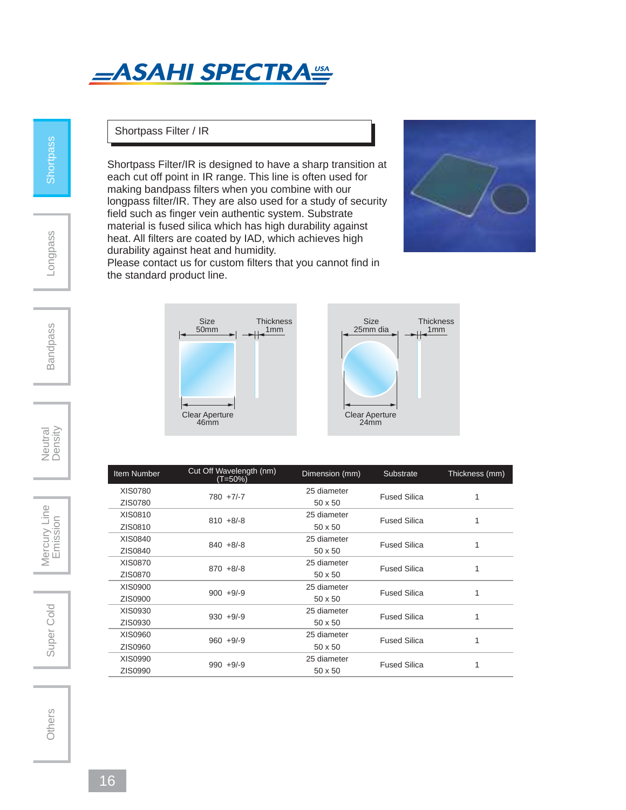# **\_ASAHI SPECTRA<sup>USA</sup>**

**Shortpass** 

Longpass

### Shortpass Filter / IR

Shortpass Filter/IR is designed to have a sharp transition at each cut off point in IR range. This line is often used for making bandpass filters when you combine with our longpass filter/IR. They are also used for a study of security field such as finger vein authentic system. Substrate material is fused silica which has high durability against heat. All filters are coated by IAD, which achieves high durability against heat and humidity.



Please contact us for custom filters that you cannot find in the standard product line.



| Item Number    | Cut Off Wavelength (nm)<br>(T=50%) | Dimension (mm) | Substrate           | Thickness (mm) |
|----------------|------------------------------------|----------------|---------------------|----------------|
| XIS0780        | $780 + 7/-7$                       | 25 diameter    | <b>Fused Silica</b> | 1              |
| ZIS0780        |                                    | 50 x 50        |                     |                |
| XIS0810        | $810 + 8/ -8$                      | 25 diameter    | <b>Fused Silica</b> |                |
| ZIS0810        |                                    | $50 \times 50$ |                     |                |
| XIS0840        | $840 + 8/ -8$                      | 25 diameter    | <b>Fused Silica</b> | 1              |
| ZIS0840        |                                    | $50 \times 50$ |                     |                |
| <b>XIS0870</b> | $870 + 8/ -8$                      | 25 diameter    | <b>Fused Silica</b> | 1              |
| ZIS0870        |                                    | $50 \times 50$ |                     |                |
| XIS0900        | $900 + 9/-9$                       | 25 diameter    | <b>Fused Silica</b> | 1              |
| ZIS0900        |                                    | 50 x 50        |                     |                |
| XIS0930        | $930 + 9/-9$                       | 25 diameter    | <b>Fused Silica</b> |                |
| ZIS0930        |                                    | $50 \times 50$ |                     |                |
| XIS0960        | $960 + 9/9$                        | 25 diameter    | <b>Fused Silica</b> | 1              |
| ZIS0960        |                                    | $50 \times 50$ |                     |                |
| XIS0990        | $990 + 9/-9$                       | 25 diameter    | <b>Fused Silica</b> | 1              |
| ZIS0990        |                                    | $50 \times 50$ |                     |                |
|                |                                    |                |                     |                |

**Bandpass** 

Neutral<br>Density

Super Cold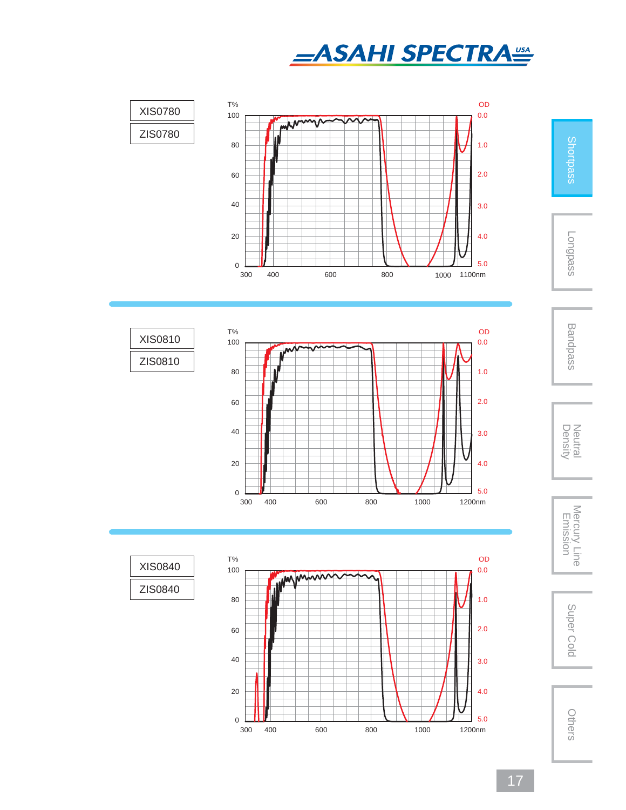









Longpass







Super Cold



17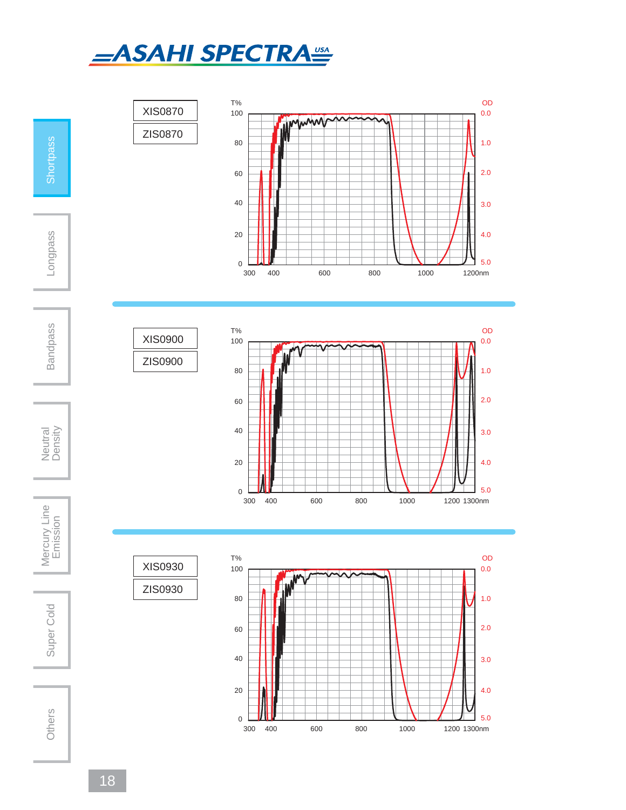



300 400 600 800 1000 1200 m 1300n

Neutral<br>Density